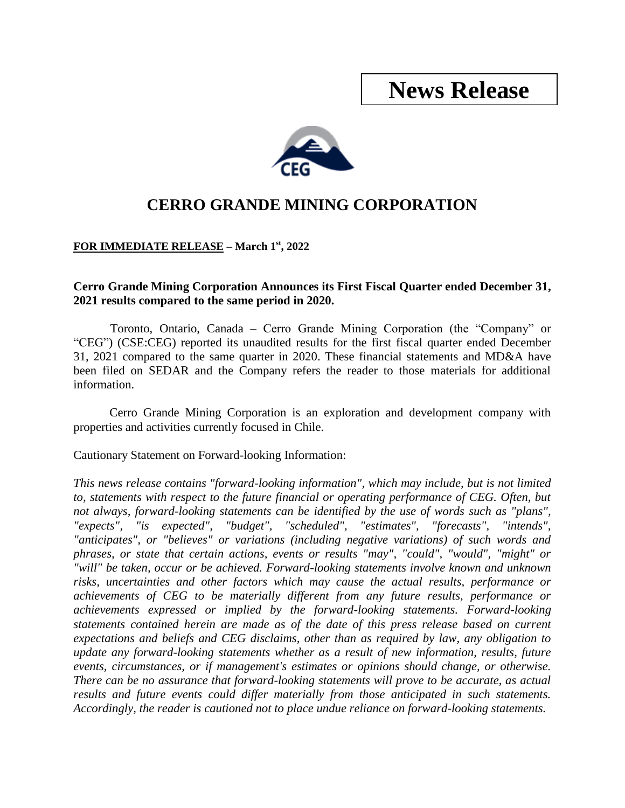## **News Release**



## **CERRO GRANDE MINING CORPORATION**

## **FOR IMMEDIATE RELEASE – March 1st, 2022**

**Cerro Grande Mining Corporation Announces its First Fiscal Quarter ended December 31, 2021 results compared to the same period in 2020.**

Toronto, Ontario, Canada – Cerro Grande Mining Corporation (the "Company" or "CEG") (CSE:CEG) reported its unaudited results for the first fiscal quarter ended December 31, 2021 compared to the same quarter in 2020. These financial statements and MD&A have been filed on SEDAR and the Company refers the reader to those materials for additional information.

Cerro Grande Mining Corporation is an exploration and development company with properties and activities currently focused in Chile.

Cautionary Statement on Forward-looking Information:

*This news release contains "forward-looking information", which may include, but is not limited to, statements with respect to the future financial or operating performance of CEG. Often, but not always, forward-looking statements can be identified by the use of words such as "plans", "expects", "is expected", "budget", "scheduled", "estimates", "forecasts", "intends", "anticipates", or "believes" or variations (including negative variations) of such words and phrases, or state that certain actions, events or results "may", "could", "would", "might" or "will" be taken, occur or be achieved. Forward-looking statements involve known and unknown risks, uncertainties and other factors which may cause the actual results, performance or achievements of CEG to be materially different from any future results, performance or achievements expressed or implied by the forward-looking statements. Forward-looking statements contained herein are made as of the date of this press release based on current expectations and beliefs and CEG disclaims, other than as required by law, any obligation to update any forward-looking statements whether as a result of new information, results, future events, circumstances, or if management's estimates or opinions should change, or otherwise. There can be no assurance that forward-looking statements will prove to be accurate, as actual results and future events could differ materially from those anticipated in such statements. Accordingly, the reader is cautioned not to place undue reliance on forward-looking statements.*